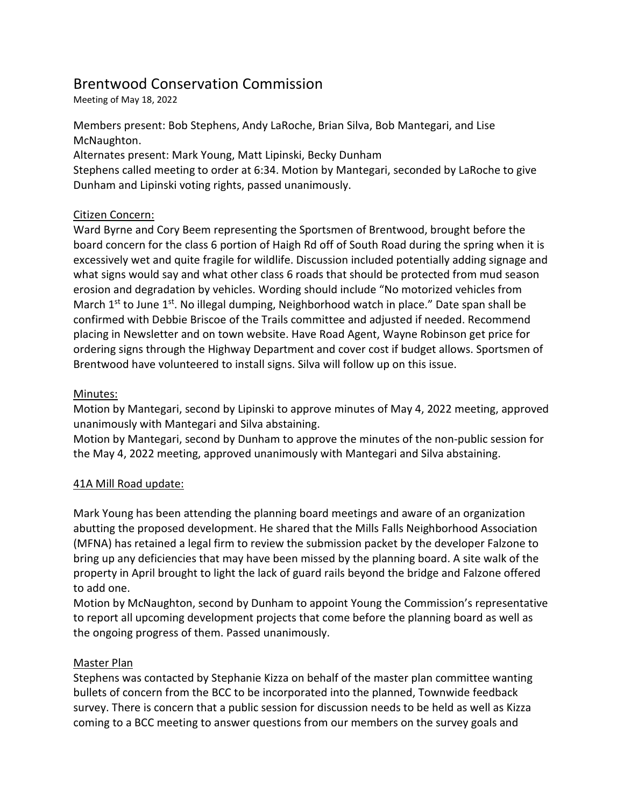# Brentwood Conservation Commission

Meeting of May 18, 2022

Members present: Bob Stephens, Andy LaRoche, Brian Silva, Bob Mantegari, and Lise McNaughton.

Alternates present: Mark Young, Matt Lipinski, Becky Dunham

Stephens called meeting to order at 6:34. Motion by Mantegari, seconded by LaRoche to give Dunham and Lipinski voting rights, passed unanimously.

## Citizen Concern:

Ward Byrne and Cory Beem representing the Sportsmen of Brentwood, brought before the board concern for the class 6 portion of Haigh Rd off of South Road during the spring when it is excessively wet and quite fragile for wildlife. Discussion included potentially adding signage and what signs would say and what other class 6 roads that should be protected from mud season erosion and degradation by vehicles. Wording should include "No motorized vehicles from March  $1<sup>st</sup>$  to June  $1<sup>st</sup>$ . No illegal dumping, Neighborhood watch in place." Date span shall be confirmed with Debbie Briscoe of the Trails committee and adjusted if needed. Recommend placing in Newsletter and on town website. Have Road Agent, Wayne Robinson get price for ordering signs through the Highway Department and cover cost if budget allows. Sportsmen of Brentwood have volunteered to install signs. Silva will follow up on this issue.

## Minutes:

Motion by Mantegari, second by Lipinski to approve minutes of May 4, 2022 meeting, approved unanimously with Mantegari and Silva abstaining.

Motion by Mantegari, second by Dunham to approve the minutes of the non-public session for the May 4, 2022 meeting, approved unanimously with Mantegari and Silva abstaining.

## 41A Mill Road update:

Mark Young has been attending the planning board meetings and aware of an organization abutting the proposed development. He shared that the Mills Falls Neighborhood Association (MFNA) has retained a legal firm to review the submission packet by the developer Falzone to bring up any deficiencies that may have been missed by the planning board. A site walk of the property in April brought to light the lack of guard rails beyond the bridge and Falzone offered to add one.

Motion by McNaughton, second by Dunham to appoint Young the Commission's representative to report all upcoming development projects that come before the planning board as well as the ongoing progress of them. Passed unanimously.

## Master Plan

Stephens was contacted by Stephanie Kizza on behalf of the master plan committee wanting bullets of concern from the BCC to be incorporated into the planned, Townwide feedback survey. There is concern that a public session for discussion needs to be held as well as Kizza coming to a BCC meeting to answer questions from our members on the survey goals and